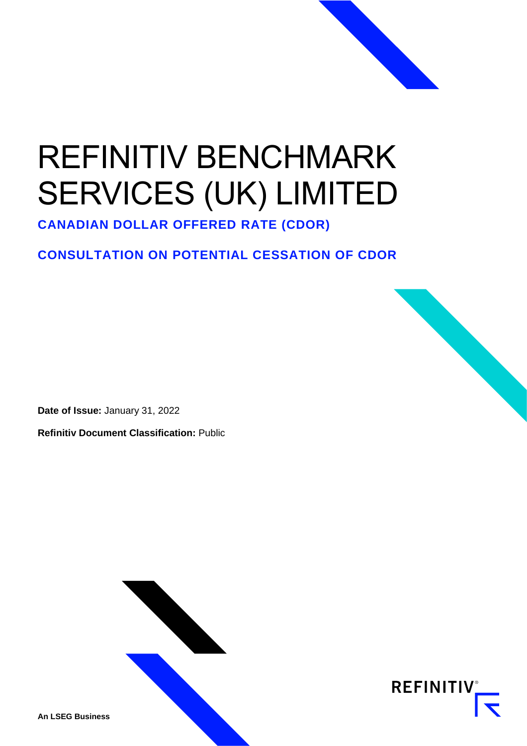# REFINITIV BENCHMARK SERVICES (UK) LIMITED

**CANADIAN DOLLAR OFFERED RATE (CDOR)**

### **CONSULTATION ON POTENTIAL CESSATION OF CDOR**

**Date of Issue:** January 31, 2022

**Refinitiv Document Classification:** Public



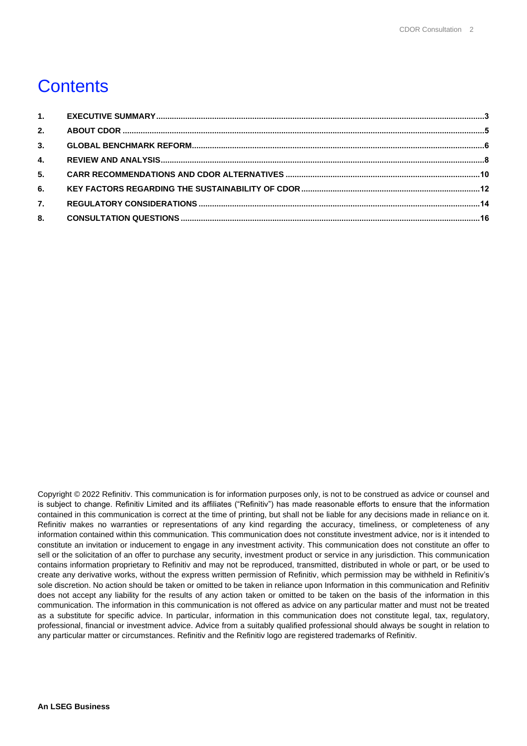# **Contents**

| 2. |  |
|----|--|
| 3. |  |
| 4. |  |
| 5. |  |
| 6. |  |
| 7. |  |
| 8. |  |

Copyright © 2022 Refinitiv. This communication is for information purposes only, is not to be construed as advice or counsel and is subject to change. Refinitiv Limited and its affiliates ("Refinitiv") has made reasonable efforts to ensure that the information contained in this communication is correct at the time of printing, but shall not be liable for any decisions made in reliance on it. Refinitiv makes no warranties or representations of any kind regarding the accuracy, timeliness, or completeness of any information contained within this communication. This communication does not constitute investment advice, nor is it intended to constitute an invitation or inducement to engage in any investment activity. This communication does not constitute an offer to sell or the solicitation of an offer to purchase any security, investment product or service in any jurisdiction. This communication contains information proprietary to Refinitiv and may not be reproduced, transmitted, distributed in whole or part, or be used to create any derivative works, without the express written permission of Refinitiv, which permission may be withheld in Refinitiv's sole discretion. No action should be taken or omitted to be taken in reliance upon Information in this communication and Refinitiv does not accept any liability for the results of any action taken or omitted to be taken on the basis of the information in this communication. The information in this communication is not offered as advice on any particular matter and must not be treated as a substitute for specific advice. In particular, information in this communication does not constitute legal, tax, regulatory, professional, financial or investment advice. Advice from a suitably qualified professional should always be sought in relation to any particular matter or circumstances. Refinitiv and the Refinitiv logo are registered trademarks of Refinitiv.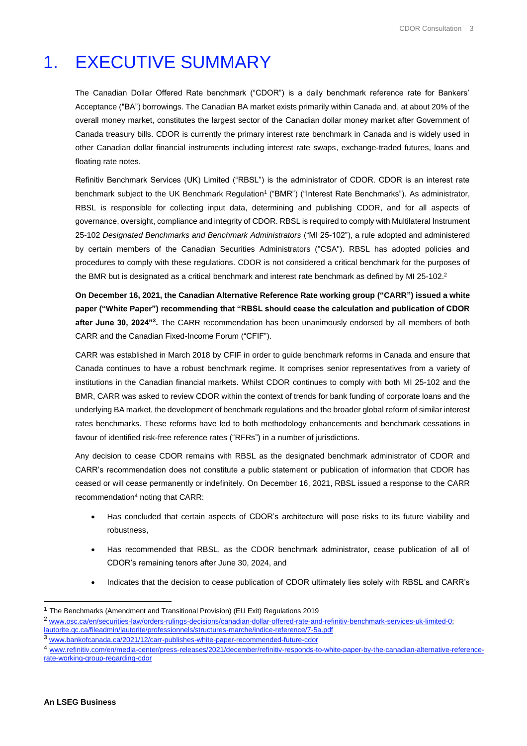# <span id="page-2-0"></span>1. EXECUTIVE SUMMARY

The Canadian Dollar Offered Rate benchmark ("CDOR") is a daily benchmark reference rate for Bankers' Acceptance ("BA") borrowings. The Canadian BA market exists primarily within Canada and, at about 20% of the overall money market, constitutes the largest sector of the Canadian dollar money market after Government of Canada treasury bills. CDOR is currently the primary interest rate benchmark in Canada and is widely used in other Canadian dollar financial instruments including interest rate swaps, exchange-traded futures, loans and floating rate notes.

Refinitiv Benchmark Services (UK) Limited ("RBSL") is the administrator of CDOR. CDOR is an interest rate benchmark subject to the UK Benchmark Regulation<sup>1</sup> ("BMR") ("Interest Rate Benchmarks"). As administrator, RBSL is responsible for collecting input data, determining and publishing CDOR, and for all aspects of governance, oversight, compliance and integrity of CDOR. RBSL is required to comply with Multilateral Instrument 25-102 *Designated Benchmarks and Benchmark Administrators* ("MI 25-102"), a rule adopted and administered by certain members of the Canadian Securities Administrators ("CSA"). RBSL has adopted policies and procedures to comply with these regulations. CDOR is not considered a critical benchmark for the purposes of the BMR but is designated as a critical benchmark and interest rate benchmark as defined by MI 25-102.<sup>2</sup>

**On December 16, 2021, the Canadian Alternative Reference Rate working group ("CARR") issued a white paper ("White Paper") recommending that "RBSL should cease the calculation and publication of CDOR after June 30, 2024"<sup>3</sup> .** The CARR recommendation has been unanimously endorsed by all members of both CARR and the Canadian Fixed-Income Forum ("CFIF").

CARR was established in March 2018 by CFIF in order to guide benchmark reforms in Canada and ensure that Canada continues to have a robust benchmark regime. It comprises senior representatives from a variety of institutions in the Canadian financial markets. Whilst CDOR continues to comply with both MI 25-102 and the BMR, CARR was asked to review CDOR within the context of trends for bank funding of corporate loans and the underlying BA market, the development of benchmark regulations and the broader global reform of similar interest rates benchmarks. These reforms have led to both methodology enhancements and benchmark cessations in favour of identified risk-free reference rates ("RFRs") in a number of jurisdictions.

Any decision to cease CDOR remains with RBSL as the designated benchmark administrator of CDOR and CARR's recommendation does not constitute a public statement or publication of information that CDOR has ceased or will cease permanently or indefinitely. On December 16, 2021, RBSL issued a response to the CARR recommendation<sup>4</sup> noting that CARR:

- Has concluded that certain aspects of CDOR's architecture will pose risks to its future viability and robustness,
- Has recommended that RBSL, as the CDOR benchmark administrator, cease publication of all of CDOR's remaining tenors after June 30, 2024, and
- Indicates that the decision to cease publication of CDOR ultimately lies solely with RBSL and CARR's

<sup>&</sup>lt;sup>1</sup> The Benchmarks (Amendment and Transitional Provision) (EU Exit) Regulations 2019 <sup>2</sup> [www.osc.ca/en/securities-law/orders-rulings-decisions/canadian-dollar-offered-rate-and-refinitiv-benchmark-services-uk-limited-0;](http://www.osc.ca/en/securities-law/orders-rulings-decisions/canadian-dollar-offered-rate-and-refinitiv-benchmark-services-uk-limited-0) [lautorite.qc.ca/fileadmin/lautorite/professionnels/structures-marche/indice-reference/7-5a.pdf](https://lautorite.qc.ca/fileadmin/lautorite/professionnels/structures-marche/indice-reference/7-5a.pdf)

<sup>3</sup> [www.bankofcanada.ca/2021/12/carr-publishes-white-paper-recommended-future-cdor](http://www.bankofcanada.ca/2021/12/carr-publishes-white-paper-recommended-future-cdor)

<sup>4</sup> [www.refinitiv.com/en/media-center/press-releases/2021/december/refinitiv-responds-to-white-paper-by-the-canadian-alternative-reference](http://www.refinitiv.com/en/media-center/press-releases/2021/december/refinitiv-responds-to-white-paper-by-the-canadian-alternative-reference-rate-working-group-regarding-cdor)[rate-working-group-regarding-cdor](http://www.refinitiv.com/en/media-center/press-releases/2021/december/refinitiv-responds-to-white-paper-by-the-canadian-alternative-reference-rate-working-group-regarding-cdor)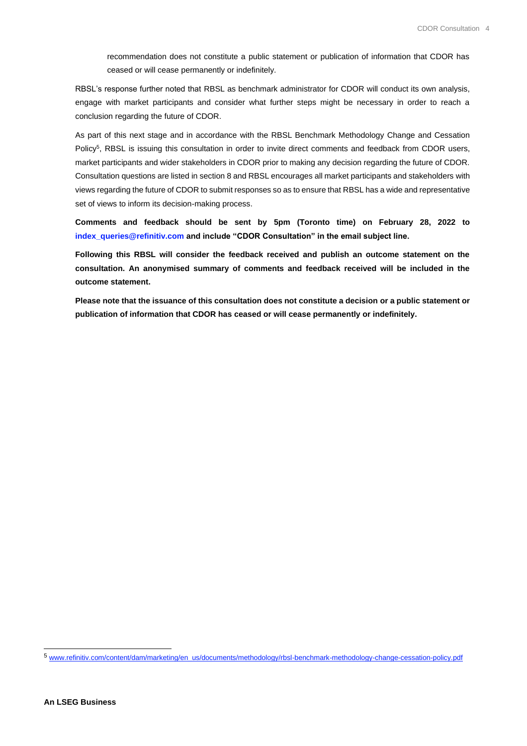recommendation does not constitute a public statement or publication of information that CDOR has ceased or will cease permanently or indefinitely.

RBSL's response further noted that RBSL as benchmark administrator for CDOR will conduct its own analysis, engage with market participants and consider what further steps might be necessary in order to reach a conclusion regarding the future of CDOR.

As part of this next stage and in accordance with the RBSL Benchmark Methodology Change and Cessation Policy<sup>5</sup>, RBSL is issuing this consultation in order to invite direct comments and feedback from CDOR users, market participants and wider stakeholders in CDOR prior to making any decision regarding the future of CDOR. Consultation questions are listed in section 8 and RBSL encourages all market participants and stakeholders with views regarding the future of CDOR to submit responses so as to ensure that RBSL has a wide and representative set of views to inform its decision-making process.

**Comments and feedback should be sent by 5pm (Toronto time) on February 28, 2022 to [index\\_queries@refinitiv.com](mailto:index_queries@refinitiv.com) and include "CDOR Consultation" in the email subject line.**

**Following this RBSL will consider the feedback received and publish an outcome statement on the consultation. An anonymised summary of comments and feedback received will be included in the outcome statement.**

**Please note that the issuance of this consultation does not constitute a decision or a public statement or publication of information that CDOR has ceased or will cease permanently or indefinitely.**

<sup>5</sup> [www.refinitiv.com/content/dam/marketing/en\\_us/documents/methodology/rbsl-benchmark-methodology-change-cessation-policy.pdf](http://www.refinitiv.com/content/dam/marketing/en_us/documents/methodology/rbsl-benchmark-methodology-change-cessation-policy.pdf)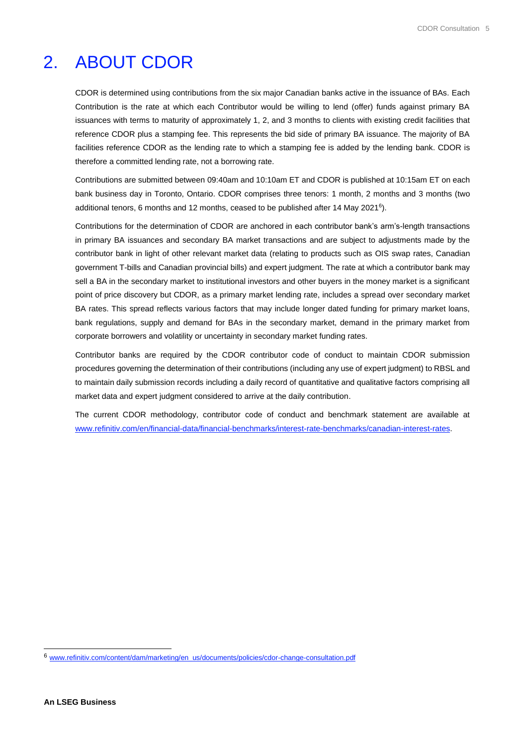# <span id="page-4-0"></span>2. ABOUT CDOR

CDOR is determined using contributions from the six major Canadian banks active in the issuance of BAs. Each Contribution is the rate at which each Contributor would be willing to lend (offer) funds against primary BA issuances with terms to maturity of approximately 1, 2, and 3 months to clients with existing credit facilities that reference CDOR plus a stamping fee. This represents the bid side of primary BA issuance. The majority of BA facilities reference CDOR as the lending rate to which a stamping fee is added by the lending bank. CDOR is therefore a committed lending rate, not a borrowing rate.

Contributions are submitted between 09:40am and 10:10am ET and CDOR is published at 10:15am ET on each bank business day in Toronto, Ontario. CDOR comprises three tenors: 1 month, 2 months and 3 months (two additional tenors, 6 months and 12 months, ceased to be published after 14 May 2021<sup>6</sup> ).

Contributions for the determination of CDOR are anchored in each contributor bank's arm's-length transactions in primary BA issuances and secondary BA market transactions and are subject to adjustments made by the contributor bank in light of other relevant market data (relating to products such as OIS swap rates, Canadian government T-bills and Canadian provincial bills) and expert judgment. The rate at which a contributor bank may sell a BA in the secondary market to institutional investors and other buyers in the money market is a significant point of price discovery but CDOR, as a primary market lending rate, includes a spread over secondary market BA rates. This spread reflects various factors that may include longer dated funding for primary market loans, bank regulations, supply and demand for BAs in the secondary market, demand in the primary market from corporate borrowers and volatility or uncertainty in secondary market funding rates.

Contributor banks are required by the CDOR contributor code of conduct to maintain CDOR submission procedures governing the determination of their contributions (including any use of expert judgment) to RBSL and to maintain daily submission records including a daily record of quantitative and qualitative factors comprising all market data and expert judgment considered to arrive at the daily contribution.

The current CDOR methodology, contributor code of conduct and benchmark statement are available at [www.refinitiv.com/en/financial-data/financial-benchmarks/interest-rate-benchmarks/canadian-interest-rates.](http://www.refinitiv.com/en/financial-data/financial-benchmarks/interest-rate-benchmarks/canadian-interest-rates)

<sup>6</sup> [www.refinitiv.com/content/dam/marketing/en\\_us/documents/policies/cdor-change-consultation.pdf](http://www.refinitiv.com/content/dam/marketing/en_us/documents/policies/cdor-change-consultation.pdf)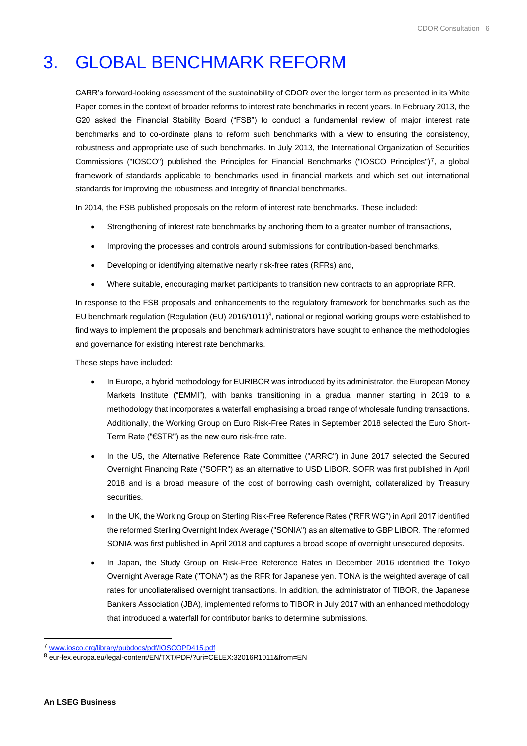# <span id="page-5-0"></span>3. GLOBAL BENCHMARK REFORM

CARR's forward-looking assessment of the sustainability of CDOR over the longer term as presented in its White Paper comes in the context of broader reforms to interest rate benchmarks in recent years. In February 2013, the G20 asked the Financial Stability Board ("FSB") to conduct a fundamental review of major interest rate benchmarks and to co-ordinate plans to reform such benchmarks with a view to ensuring the consistency, robustness and appropriate use of such benchmarks. In July 2013, the International Organization of Securities Commissions ("IOSCO") published the Principles for Financial Benchmarks ("IOSCO Principles")<sup>7</sup>, a global framework of standards applicable to benchmarks used in financial markets and which set out international standards for improving the robustness and integrity of financial benchmarks.

In 2014, the FSB published proposals on the reform of interest rate benchmarks. These included:

- Strengthening of interest rate benchmarks by anchoring them to a greater number of transactions,
- Improving the processes and controls around submissions for contribution-based benchmarks,
- Developing or identifying alternative nearly risk-free rates (RFRs) and,
- Where suitable, encouraging market participants to transition new contracts to an appropriate RFR.

In response to the FSB proposals and enhancements to the regulatory framework for benchmarks such as the EU benchmark regulation (Regulation (EU) 2016/1011)<sup>8</sup>, national or regional working groups were established to find ways to implement the proposals and benchmark administrators have sought to enhance the methodologies and governance for existing interest rate benchmarks.

These steps have included:

- In Europe, a hybrid methodology for EURIBOR was introduced by its administrator, the European Money Markets Institute ("EMMI"), with banks transitioning in a gradual manner starting in 2019 to a methodology that incorporates a waterfall emphasising a broad range of wholesale funding transactions. Additionally, the Working Group on Euro Risk-Free Rates in September 2018 selected the Euro Short-Term Rate ("€STR") as the new euro risk-free rate.
- In the US, the Alternative Reference Rate Committee ("ARRC") in June 2017 selected the Secured Overnight Financing Rate ("SOFR") as an alternative to USD LIBOR. SOFR was first published in April 2018 and is a broad measure of the cost of borrowing cash overnight, collateralized by Treasury securities.
- In the UK, the Working Group on Sterling Risk-Free Reference Rates ("RFR WG") in April 2017 identified the reformed Sterling Overnight Index Average ("SONIA") as an alternative to GBP LIBOR. The reformed SONIA was first published in April 2018 and captures a broad scope of overnight unsecured deposits.
- In Japan, the Study Group on Risk-Free Reference Rates in December 2016 identified the Tokyo Overnight Average Rate ("TONA") as the RFR for Japanese yen. TONA is the weighted average of call rates for uncollateralised overnight transactions. In addition, the administrator of TIBOR, the Japanese Bankers Association (JBA), implemented reforms to TIBOR in July 2017 with an enhanced methodology that introduced a waterfall for contributor banks to determine submissions.

<sup>7</sup> [www.iosco.org/library/pubdocs/pdf/IOSCOPD415.pdf](http://www.iosco.org/library/pubdocs/pdf/IOSCOPD415.pdf)

<sup>8</sup> eur-lex.europa.eu/legal-content/EN/TXT/PDF/?uri=CELEX:32016R1011&from=EN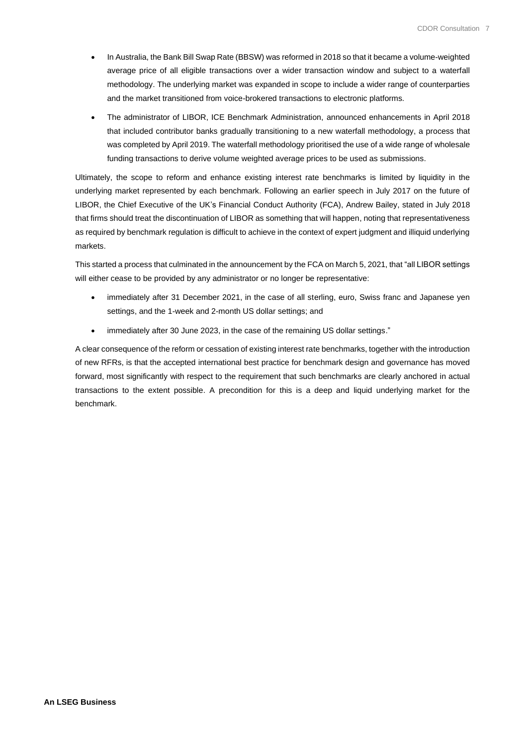- In Australia, the Bank Bill Swap Rate (BBSW) was reformed in 2018 so that it became a volume-weighted average price of all eligible transactions over a wider transaction window and subject to a waterfall methodology. The underlying market was expanded in scope to include a wider range of counterparties and the market transitioned from voice-brokered transactions to electronic platforms.
- The administrator of LIBOR, ICE Benchmark Administration, announced enhancements in April 2018 that included contributor banks gradually transitioning to a new waterfall methodology, a process that was completed by April 2019. The waterfall methodology prioritised the use of a wide range of wholesale funding transactions to derive volume weighted average prices to be used as submissions.

Ultimately, the scope to reform and enhance existing interest rate benchmarks is limited by liquidity in the underlying market represented by each benchmark. Following an earlier speech in July 2017 on the future of LIBOR, the Chief Executive of the UK's Financial Conduct Authority (FCA), Andrew Bailey, stated in July 2018 that firms should treat the discontinuation of LIBOR as something that will happen, noting that representativeness as required by benchmark regulation is difficult to achieve in the context of expert judgment and illiquid underlying markets.

This started a process that culminated in the announcement by the FCA on March 5, 2021, that "all LIBOR settings will either cease to be provided by any administrator or no longer be representative:

- immediately after 31 December 2021, in the case of all sterling, euro, Swiss franc and Japanese yen settings, and the 1-week and 2-month US dollar settings; and
- immediately after 30 June 2023, in the case of the remaining US dollar settings."

A clear consequence of the reform or cessation of existing interest rate benchmarks, together with the introduction of new RFRs, is that the accepted international best practice for benchmark design and governance has moved forward, most significantly with respect to the requirement that such benchmarks are clearly anchored in actual transactions to the extent possible. A precondition for this is a deep and liquid underlying market for the benchmark.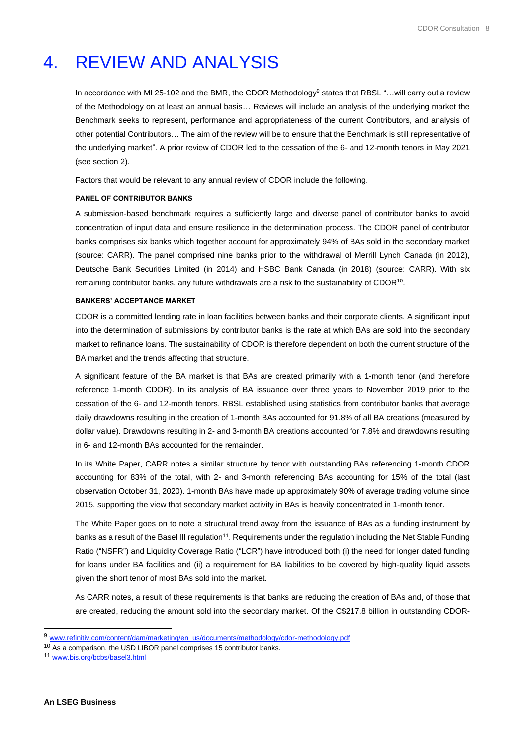# <span id="page-7-0"></span>4. REVIEW AND ANALYSIS

In accordance with MI 25-102 and the BMR, the CDOR Methodology<sup>9</sup> states that RBSL "...will carry out a review of the Methodology on at least an annual basis… Reviews will include an analysis of the underlying market the Benchmark seeks to represent, performance and appropriateness of the current Contributors, and analysis of other potential Contributors… The aim of the review will be to ensure that the Benchmark is still representative of the underlying market". A prior review of CDOR led to the cessation of the 6- and 12-month tenors in May 2021 (see section 2).

Factors that would be relevant to any annual review of CDOR include the following.

#### **PANEL OF CONTRIBUTOR BANKS**

A submission-based benchmark requires a sufficiently large and diverse panel of contributor banks to avoid concentration of input data and ensure resilience in the determination process. The CDOR panel of contributor banks comprises six banks which together account for approximately 94% of BAs sold in the secondary market (source: CARR). The panel comprised nine banks prior to the withdrawal of Merrill Lynch Canada (in 2012), Deutsche Bank Securities Limited (in 2014) and HSBC Bank Canada (in 2018) (source: CARR). With six remaining contributor banks, any future withdrawals are a risk to the sustainability of CDOR<sup>10</sup>.

#### **BANKERS' ACCEPTANCE MARKET**

CDOR is a committed lending rate in loan facilities between banks and their corporate clients. A significant input into the determination of submissions by contributor banks is the rate at which BAs are sold into the secondary market to refinance loans. The sustainability of CDOR is therefore dependent on both the current structure of the BA market and the trends affecting that structure.

A significant feature of the BA market is that BAs are created primarily with a 1-month tenor (and therefore reference 1-month CDOR). In its analysis of BA issuance over three years to November 2019 prior to the cessation of the 6- and 12-month tenors, RBSL established using statistics from contributor banks that average daily drawdowns resulting in the creation of 1-month BAs accounted for 91.8% of all BA creations (measured by dollar value). Drawdowns resulting in 2- and 3-month BA creations accounted for 7.8% and drawdowns resulting in 6- and 12-month BAs accounted for the remainder.

In its White Paper, CARR notes a similar structure by tenor with outstanding BAs referencing 1-month CDOR accounting for 83% of the total, with 2- and 3-month referencing BAs accounting for 15% of the total (last observation October 31, 2020). 1-month BAs have made up approximately 90% of average trading volume since 2015, supporting the view that secondary market activity in BAs is heavily concentrated in 1-month tenor.

The White Paper goes on to note a structural trend away from the issuance of BAs as a funding instrument by banks as a result of the Basel III regulation<sup>11</sup>. Requirements under the regulation including the Net Stable Funding Ratio ("NSFR") and Liquidity Coverage Ratio ("LCR") have introduced both (i) the need for longer dated funding for loans under BA facilities and (ii) a requirement for BA liabilities to be covered by high-quality liquid assets given the short tenor of most BAs sold into the market.

As CARR notes, a result of these requirements is that banks are reducing the creation of BAs and, of those that are created, reducing the amount sold into the secondary market. Of the C\$217.8 billion in outstanding CDOR-

<sup>9</sup> [www.refinitiv.com/content/dam/marketing/en\\_us/documents/methodology/cdor-methodology.pdf](http://www.refinitiv.com/content/dam/marketing/en_us/documents/methodology/cdor-methodology.pdf)

<sup>10</sup> As a comparison, the USD LIBOR panel comprises 15 contributor banks.

<sup>11</sup> [www.bis.org/bcbs/basel3.html](http://www.bis.org/bcbs/basel3.html)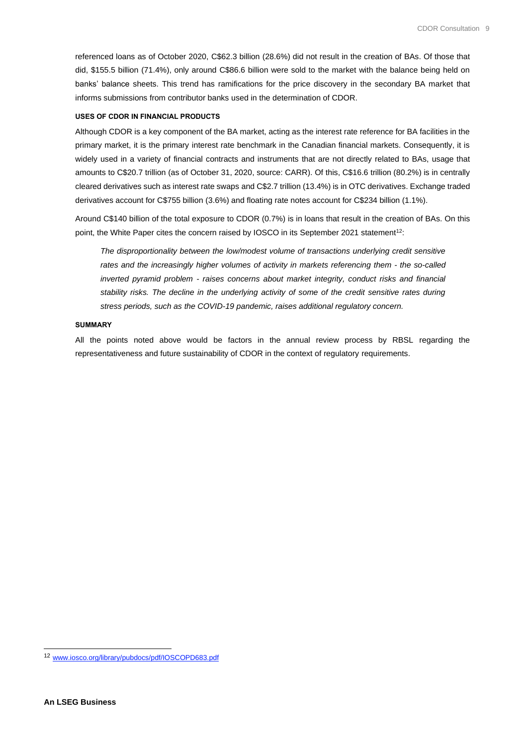referenced loans as of October 2020, C\$62.3 billion (28.6%) did not result in the creation of BAs. Of those that did, \$155.5 billion (71.4%), only around C\$86.6 billion were sold to the market with the balance being held on banks' balance sheets. This trend has ramifications for the price discovery in the secondary BA market that informs submissions from contributor banks used in the determination of CDOR.

#### **USES OF CDOR IN FINANCIAL PRODUCTS**

Although CDOR is a key component of the BA market, acting as the interest rate reference for BA facilities in the primary market, it is the primary interest rate benchmark in the Canadian financial markets. Consequently, it is widely used in a variety of financial contracts and instruments that are not directly related to BAs, usage that amounts to C\$20.7 trillion (as of October 31, 2020, source: CARR). Of this, C\$16.6 trillion (80.2%) is in centrally cleared derivatives such as interest rate swaps and C\$2.7 trillion (13.4%) is in OTC derivatives. Exchange traded derivatives account for C\$755 billion (3.6%) and floating rate notes account for C\$234 billion (1.1%).

Around C\$140 billion of the total exposure to CDOR (0.7%) is in loans that result in the creation of BAs. On this point, the White Paper cites the concern raised by IOSCO in its September 2021 statement<sup>12</sup>:

*The disproportionality between the low/modest volume of transactions underlying credit sensitive rates and the increasingly higher volumes of activity in markets referencing them - the so-called inverted pyramid problem - raises concerns about market integrity, conduct risks and financial stability risks. The decline in the underlying activity of some of the credit sensitive rates during stress periods, such as the COVID-19 pandemic, raises additional regulatory concern.*

#### **SUMMARY**

All the points noted above would be factors in the annual review process by RBSL regarding the representativeness and future sustainability of CDOR in the context of regulatory requirements.

<sup>12</sup> [www.iosco.org/library/pubdocs/pdf/IOSCOPD683.pdf](http://www.iosco.org/library/pubdocs/pdf/IOSCOPD683.pdf)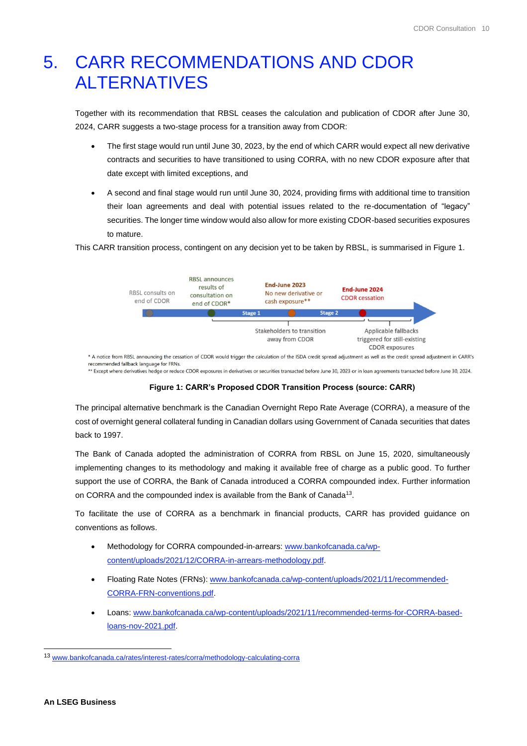# <span id="page-9-0"></span>5. CARR RECOMMENDATIONS AND CDOR ALTERNATIVES

Together with its recommendation that RBSL ceases the calculation and publication of CDOR after June 30, 2024, CARR suggests a two-stage process for a transition away from CDOR:

- The first stage would run until June 30, 2023, by the end of which CARR would expect all new derivative contracts and securities to have transitioned to using CORRA, with no new CDOR exposure after that date except with limited exceptions, and
- A second and final stage would run until June 30, 2024, providing firms with additional time to transition their loan agreements and deal with potential issues related to the re-documentation of "legacy" securities. The longer time window would also allow for more existing CDOR-based securities exposures to mature.

This CARR transition process, contingent on any decision yet to be taken by RBSL, is summarised in Figure 1.



recommended fallback language for FRNs \*\* Except where derivatives hedge or reduce CDOR exposures in derivatives or securities transacted before June 30, 2023 or in loan agreements transacted before June 30, 2024.

#### **Figure 1: CARR's Proposed CDOR Transition Process (source: CARR)**

The principal alternative benchmark is the Canadian Overnight Repo Rate Average (CORRA), a measure of the cost of overnight general collateral funding in Canadian dollars using Government of Canada securities that dates back to 1997.

The Bank of Canada adopted the administration of CORRA from RBSL on June 15, 2020, simultaneously implementing changes to its methodology and making it available free of charge as a public good. To further support the use of CORRA, the Bank of Canada introduced a CORRA compounded index. Further information on CORRA and the compounded index is available from the Bank of Canada<sup>13</sup>.

To facilitate the use of CORRA as a benchmark in financial products, CARR has provided guidance on conventions as follows.

- Methodology for CORRA compounded-in-arrears[: www.bankofcanada.ca/wp](http://www.bankofcanada.ca/wp-content/uploads/2021/12/CORRA-in-arrears-methodology.pdf)[content/uploads/2021/12/CORRA-in-arrears-methodology.pdf.](http://www.bankofcanada.ca/wp-content/uploads/2021/12/CORRA-in-arrears-methodology.pdf)
- Floating Rate Notes (FRNs): [www.bankofcanada.ca/wp-content/uploads/2021/11/recommended-](http://www.bankofcanada.ca/wp-content/uploads/2021/11/recommended-CORRA-FRN-conventions.pdf)[CORRA-FRN-conventions.pdf.](http://www.bankofcanada.ca/wp-content/uploads/2021/11/recommended-CORRA-FRN-conventions.pdf)
- Loans[: www.bankofcanada.ca/wp-content/uploads/2021/11/recommended-terms-for-CORRA-based](http://www.bankofcanada.ca/wp-content/uploads/2021/11/recommended-terms-for-CORRA-based-loans-nov-2021.pdf)[loans-nov-2021.pdf.](http://www.bankofcanada.ca/wp-content/uploads/2021/11/recommended-terms-for-CORRA-based-loans-nov-2021.pdf)

<sup>13</sup> [www.bankofcanada.ca/rates/interest-rates/corra/methodology-calculating-corra](http://www.bankofcanada.ca/rates/interest-rates/corra/methodology-calculating-corra/)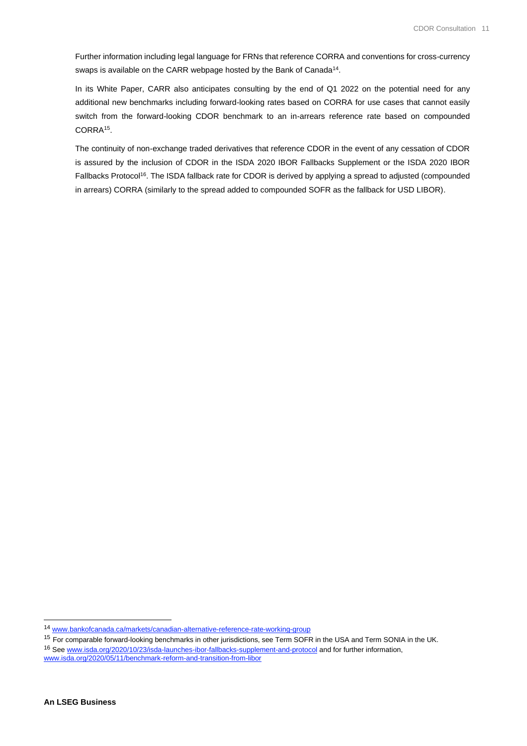Further information including legal language for FRNs that reference CORRA and conventions for cross-currency swaps is available on the CARR webpage hosted by the Bank of Canada<sup>14</sup>.

In its White Paper, CARR also anticipates consulting by the end of Q1 2022 on the potential need for any additional new benchmarks including forward-looking rates based on CORRA for use cases that cannot easily switch from the forward-looking CDOR benchmark to an in-arrears reference rate based on compounded CORRA<sup>15</sup>.

The continuity of non-exchange traded derivatives that reference CDOR in the event of any cessation of CDOR is assured by the inclusion of CDOR in the ISDA 2020 IBOR Fallbacks Supplement or the ISDA 2020 IBOR Fallbacks Protocol<sup>16</sup>. The ISDA fallback rate for CDOR is derived by applying a spread to adjusted (compounded in arrears) CORRA (similarly to the spread added to compounded SOFR as the fallback for USD LIBOR).

<sup>14</sup> [www.bankofcanada.ca/markets/canadian-alternative-reference-rate-working-group](http://www.bankofcanada.ca/markets/canadian-alternative-reference-rate-working-group)

<sup>&</sup>lt;sup>15</sup> For comparable forward-looking benchmarks in other jurisdictions, see Term SOFR in the USA and Term SONIA in the UK.

<sup>16</sup> Se[e www.isda.org/2020/10/23/isda-launches-ibor-fallbacks-supplement-and-protocol](http://www.isda.org/2020/10/23/isda-launches-ibor-fallbacks-supplement-and-protocol) and for further information, [www.isda.org/2020/05/11/benchmark-reform-and-transition-from-libor](http://www.isda.org/2020/05/11/benchmark-reform-and-transition-from-libor/)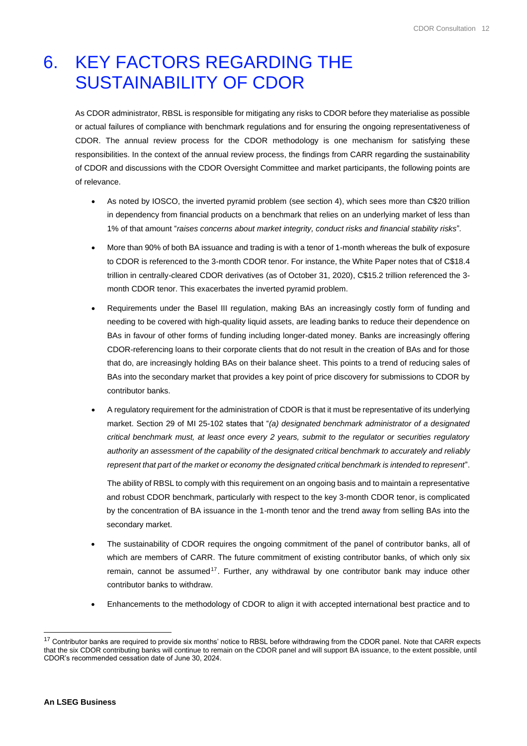# <span id="page-11-0"></span>6. KEY FACTORS REGARDING THE SUSTAINABILITY OF CDOR

As CDOR administrator, RBSL is responsible for mitigating any risks to CDOR before they materialise as possible or actual failures of compliance with benchmark regulations and for ensuring the ongoing representativeness of CDOR. The annual review process for the CDOR methodology is one mechanism for satisfying these responsibilities. In the context of the annual review process, the findings from CARR regarding the sustainability of CDOR and discussions with the CDOR Oversight Committee and market participants, the following points are of relevance.

- As noted by IOSCO, the inverted pyramid problem (see section 4), which sees more than C\$20 trillion in dependency from financial products on a benchmark that relies on an underlying market of less than 1% of that amount "*raises concerns about market integrity, conduct risks and financial stability risks*"*.*
- More than 90% of both BA issuance and trading is with a tenor of 1-month whereas the bulk of exposure to CDOR is referenced to the 3-month CDOR tenor. For instance, the White Paper notes that of C\$18.4 trillion in centrally-cleared CDOR derivatives (as of October 31, 2020), C\$15.2 trillion referenced the 3 month CDOR tenor. This exacerbates the inverted pyramid problem.
- Requirements under the Basel III regulation, making BAs an increasingly costly form of funding and needing to be covered with high-quality liquid assets, are leading banks to reduce their dependence on BAs in favour of other forms of funding including longer-dated money. Banks are increasingly offering CDOR-referencing loans to their corporate clients that do not result in the creation of BAs and for those that do, are increasingly holding BAs on their balance sheet. This points to a trend of reducing sales of BAs into the secondary market that provides a key point of price discovery for submissions to CDOR by contributor banks.
- A regulatory requirement for the administration of CDOR is that it must be representative of its underlying market. Section 29 of MI 25-102 states that "*(a) designated benchmark administrator of a designated critical benchmark must, at least once every 2 years, submit to the regulator or securities regulatory authority an assessment of the capability of the designated critical benchmark to accurately and reliably represent that part of the market or economy the designated critical benchmark is intended to represent*".

The ability of RBSL to comply with this requirement on an ongoing basis and to maintain a representative and robust CDOR benchmark, particularly with respect to the key 3-month CDOR tenor, is complicated by the concentration of BA issuance in the 1-month tenor and the trend away from selling BAs into the secondary market.

- The sustainability of CDOR requires the ongoing commitment of the panel of contributor banks, all of which are members of CARR. The future commitment of existing contributor banks, of which only six remain, cannot be assumed<sup>17</sup>. Further, any withdrawal by one contributor bank may induce other contributor banks to withdraw.
- Enhancements to the methodology of CDOR to align it with accepted international best practice and to

<sup>&</sup>lt;sup>17</sup> Contributor banks are required to provide six months' notice to RBSL before withdrawing from the CDOR panel. Note that CARR expects that the six CDOR contributing banks will continue to remain on the CDOR panel and will support BA issuance, to the extent possible, until CDOR's recommended cessation date of June 30, 2024.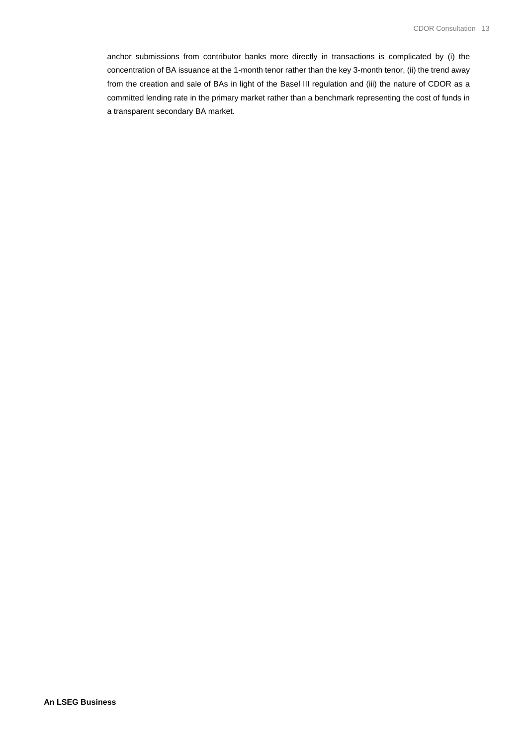anchor submissions from contributor banks more directly in transactions is complicated by (i) the concentration of BA issuance at the 1-month tenor rather than the key 3-month tenor, (ii) the trend away from the creation and sale of BAs in light of the Basel III regulation and (iii) the nature of CDOR as a committed lending rate in the primary market rather than a benchmark representing the cost of funds in a transparent secondary BA market.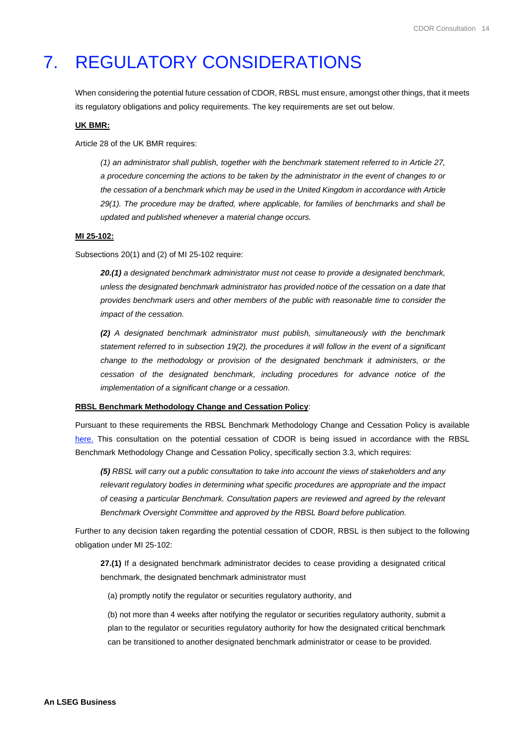# <span id="page-13-0"></span>7. REGULATORY CONSIDERATIONS

When considering the potential future cessation of CDOR, RBSL must ensure, amongst other things, that it meets its regulatory obligations and policy requirements. The key requirements are set out below.

#### **UK BMR:**

Article 28 of the UK BMR requires:

*(1) an administrator shall publish, together with the benchmark statement referred to in Article 27, a procedure concerning the actions to be taken by the administrator in the event of changes to or the cessation of a benchmark which may be used in the United Kingdom in accordance with Article 29(1). The procedure may be drafted, where applicable, for families of benchmarks and shall be updated and published whenever a material change occurs.*

#### **MI 25-102:**

Subsections 20(1) and (2) of MI 25-102 require:

*20.(1) a designated benchmark administrator must not cease to provide a designated benchmark, unless the designated benchmark administrator has provided notice of the cessation on a date that provides benchmark users and other members of the public with reasonable time to consider the impact of the cessation.* 

*(2) A designated benchmark administrator must publish, simultaneously with the benchmark statement referred to in subsection 19(2), the procedures it will follow in the event of a significant change to the methodology or provision of the designated benchmark it administers, or the cessation of the designated benchmark, including procedures for advance notice of the implementation of a significant change or a cessation.*

#### **RBSL Benchmark Methodology Change and Cessation Policy**:

Pursuant to these requirements the RBSL Benchmark Methodology Change and Cessation Policy is available [here.](https://www.refinitiv.com/content/dam/marketing/en_us/documents/methodology/rbsl-benchmark-methodology-change-cessation-policy.pdf) This consultation on the potential cessation of CDOR is being issued in accordance with the RBSL Benchmark Methodology Change and Cessation Policy, specifically section 3.3, which requires:

*(5) RBSL will carry out a public consultation to take into account the views of stakeholders and any relevant regulatory bodies in determining what specific procedures are appropriate and the impact of ceasing a particular Benchmark. Consultation papers are reviewed and agreed by the relevant Benchmark Oversight Committee and approved by the RBSL Board before publication.*

Further to any decision taken regarding the potential cessation of CDOR, RBSL is then subject to the following obligation under MI 25-102:

**27.(1)** If a designated benchmark administrator decides to cease providing a designated critical benchmark, the designated benchmark administrator must

(a) promptly notify the regulator or securities regulatory authority, and

(b) not more than 4 weeks after notifying the regulator or securities regulatory authority, submit a plan to the regulator or securities regulatory authority for how the designated critical benchmark can be transitioned to another designated benchmark administrator or cease to be provided.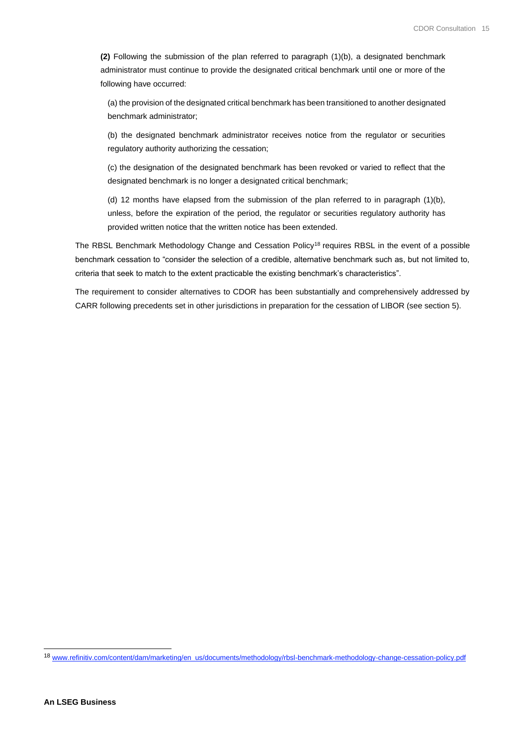**(2)** Following the submission of the plan referred to paragraph (1)(b), a designated benchmark administrator must continue to provide the designated critical benchmark until one or more of the following have occurred:

(a) the provision of the designated critical benchmark has been transitioned to another designated benchmark administrator;

(b) the designated benchmark administrator receives notice from the regulator or securities regulatory authority authorizing the cessation;

(c) the designation of the designated benchmark has been revoked or varied to reflect that the designated benchmark is no longer a designated critical benchmark;

(d) 12 months have elapsed from the submission of the plan referred to in paragraph (1)(b), unless, before the expiration of the period, the regulator or securities regulatory authority has provided written notice that the written notice has been extended.

The RBSL Benchmark Methodology Change and Cessation Policy<sup>18</sup> requires RBSL in the event of a possible benchmark cessation to "consider the selection of a credible, alternative benchmark such as, but not limited to, criteria that seek to match to the extent practicable the existing benchmark's characteristics".

The requirement to consider alternatives to CDOR has been substantially and comprehensively addressed by CARR following precedents set in other jurisdictions in preparation for the cessation of LIBOR (see section 5).

<sup>18</sup> [www.refinitiv.com/content/dam/marketing/en\\_us/documents/methodology/rbsl-benchmark-methodology-change-cessation-policy.pdf](http://www.refinitiv.com/content/dam/marketing/en_us/documents/methodology/rbsl-benchmark-methodology-change-cessation-policy.pdf)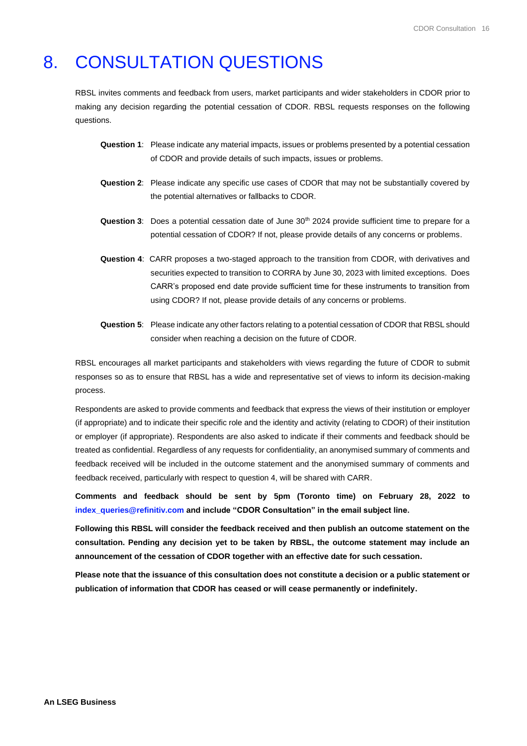# <span id="page-15-0"></span>8. CONSULTATION QUESTIONS

RBSL invites comments and feedback from users, market participants and wider stakeholders in CDOR prior to making any decision regarding the potential cessation of CDOR. RBSL requests responses on the following questions.

- **Question 1**: Please indicate any material impacts, issues or problems presented by a potential cessation of CDOR and provide details of such impacts, issues or problems.
- **Question 2**: Please indicate any specific use cases of CDOR that may not be substantially covered by the potential alternatives or fallbacks to CDOR.
- **Question 3**: Does a potential cessation date of June 30th 2024 provide sufficient time to prepare for a potential cessation of CDOR? If not, please provide details of any concerns or problems.
- **Question 4**: CARR proposes a two-staged approach to the transition from CDOR, with derivatives and securities expected to transition to CORRA by June 30, 2023 with limited exceptions. Does CARR's proposed end date provide sufficient time for these instruments to transition from using CDOR? If not, please provide details of any concerns or problems.
- **Question 5**: Please indicate any other factors relating to a potential cessation of CDOR that RBSL should consider when reaching a decision on the future of CDOR.

RBSL encourages all market participants and stakeholders with views regarding the future of CDOR to submit responses so as to ensure that RBSL has a wide and representative set of views to inform its decision-making process.

Respondents are asked to provide comments and feedback that express the views of their institution or employer (if appropriate) and to indicate their specific role and the identity and activity (relating to CDOR) of their institution or employer (if appropriate). Respondents are also asked to indicate if their comments and feedback should be treated as confidential. Regardless of any requests for confidentiality, an anonymised summary of comments and feedback received will be included in the outcome statement and the anonymised summary of comments and feedback received, particularly with respect to question 4, will be shared with CARR.

**Comments and feedback should be sent by 5pm (Toronto time) on February 28, 2022 to [index\\_queries@refinitiv.com](mailto:index_queries@refinitiv.com) and include "CDOR Consultation" in the email subject line.**

**Following this RBSL will consider the feedback received and then publish an outcome statement on the consultation. Pending any decision yet to be taken by RBSL, the outcome statement may include an announcement of the cessation of CDOR together with an effective date for such cessation.**

**Please note that the issuance of this consultation does not constitute a decision or a public statement or publication of information that CDOR has ceased or will cease permanently or indefinitely.**